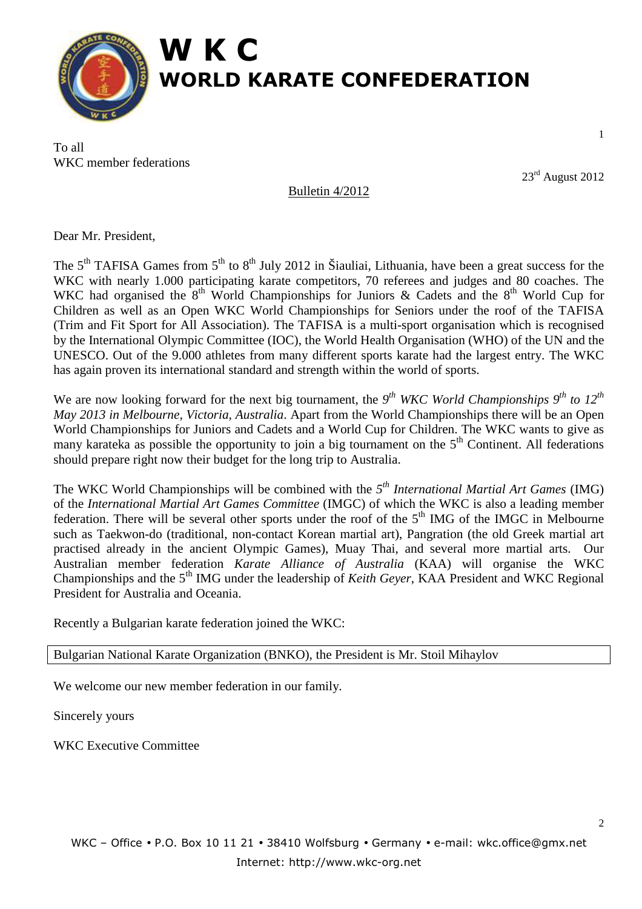

To all WKC member federations

23rd August 2012

1

Bulletin 4/2012

Dear Mr. President,

The  $5<sup>th</sup>$  TAFISA Games from  $5<sup>th</sup>$  to  $8<sup>th</sup>$  July 2012 in Šiauliai, Lithuania, have been a great success for the WKC with nearly 1.000 participating karate competitors, 70 referees and judges and 80 coaches. The WKC had organised the  $8<sup>th</sup>$  World Championships for Juniors & Cadets and the  $8<sup>th</sup>$  World Cup for Children as well as an Open WKC World Championships for Seniors under the roof of the TAFISA (Trim and Fit Sport for All Association). The TAFISA is a multi-sport organisation which is recognised by the International Olympic Committee (IOC), the World Health Organisation (WHO) of the UN and the UNESCO. Out of the 9.000 athletes from many different sports karate had the largest entry. The WKC has again proven its international standard and strength within the world of sports.

We are now looking forward for the next big tournament, the 9<sup>th</sup> WKC World Championships 9<sup>th</sup> to 12<sup>th</sup> *May 2013 in Melbourne, Victoria, Australia*. Apart from the World Championships there will be an Open World Championships for Juniors and Cadets and a World Cup for Children. The WKC wants to give as many karateka as possible the opportunity to join a big tournament on the  $5<sup>th</sup>$  Continent. All federations should prepare right now their budget for the long trip to Australia.

The WKC World Championships will be combined with the *5 th International Martial Art Games* (IMG) of the *International Martial Art Games Committee* (IMGC) of which the WKC is also a leading member federation. There will be several other sports under the roof of the  $5<sup>th</sup>$  IMG of the IMGC in Melbourne such as Taekwon-do (traditional, non-contact Korean martial art), Pangration (the old Greek martial art practised already in the ancient Olympic Games), Muay Thai, and several more martial arts. Our Australian member federation *Karate Alliance of Australia* (KAA) will organise the WKC Championships and the 5<sup>th</sup> IMG under the leadership of *Keith Geyer*, KAA President and WKC Regional President for Australia and Oceania.

Recently a Bulgarian karate federation joined the WKC:

Bulgarian National Karate Organization (BNKO), the President is Mr. Stoil Mihaylov

We welcome our new member federation in our family.

Sincerely yours

WKC Executive Committee